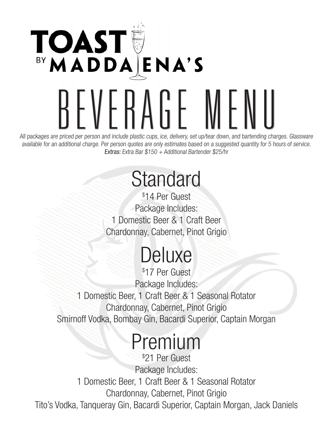# TOAST<sup>S</sup> BEVERAGE MENU

All packages are priced per person and include plastic cups, ice, delivery, set up/tear down, and bartending charges. Glassware available for an additional charge. Per person quotes are only estimates based on a suggested quantity for 5 hours of service. Extras: Extra Bar \$150 + Additional Bartender \$25/hr

# **Standard**

\$ 14 Per Guest Package Includes: 1 Domestic Beer & 1 Craft Beer Chardonnay, Cabernet, Pinot Grigio

## Deluxe

\$ 17 Per Guest Package Includes: 1 Domestic Beer, 1 Craft Beer & 1 Seasonal Rotator Chardonnay, Cabernet, Pinot Grigio Smirnoff Vodka, Bombay Gin, Bacardi Superior, Captain Morgan

## Premium

\$ 21 Per Guest Package Includes: 1 Domestic Beer, 1 Craft Beer & 1 Seasonal Rotator Chardonnay, Cabernet, Pinot Grigio Tito's Vodka, Tanqueray Gin, Bacardi Superior, Captain Morgan, Jack Daniels